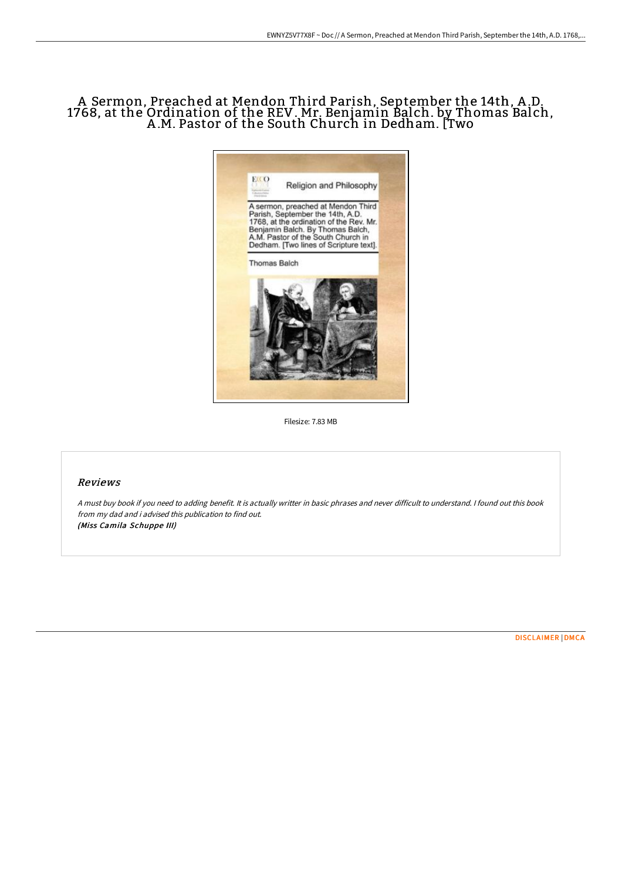# A Sermon, Preached at Mendon Third Parish, September the 14th, A .D. 1768, at the Ordination of the REV. Mr. Benjamin Balch. by Thomas Balch, A .M. Pastor of the South Church in Dedham. [Two



Filesize: 7.83 MB

## Reviews

<sup>A</sup> must buy book if you need to adding benefit. It is actually writter in basic phrases and never difficult to understand. <sup>I</sup> found out this book from my dad and i advised this publication to find out. (Miss Camila Schuppe III)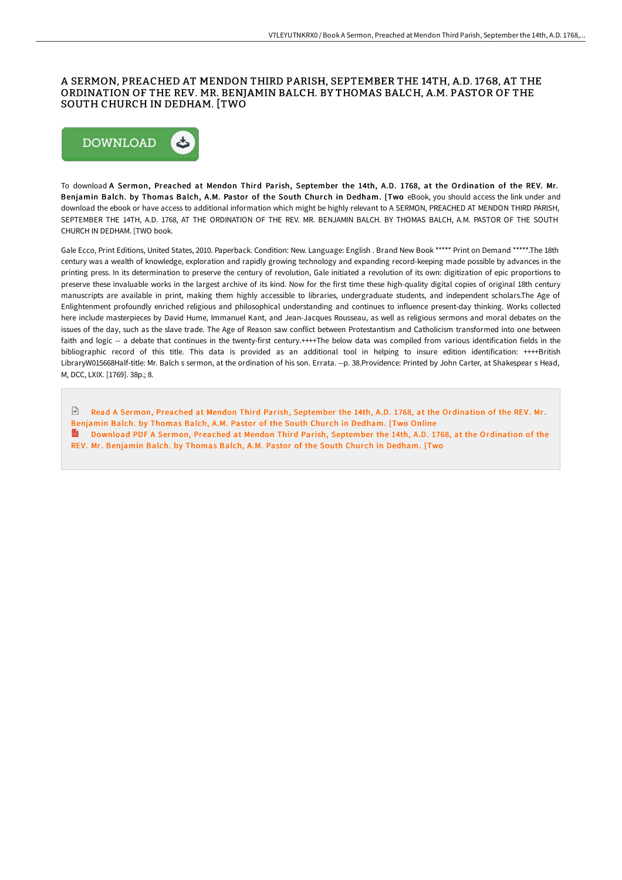## A SERMON, PREACHED AT MENDON THIRD PARISH, SEPTEMBER THE 14TH, A.D. 1768, AT THE ORDINATION OF THE REV. MR. BENJAMIN BALCH. BY THOMAS BALCH, A.M. PASTOR OF THE SOUTH CHURCH IN DEDHAM. [TWO



To download A Sermon, Preached at Mendon Third Parish, September the 14th, A.D. 1768, at the Ordination of the REV. Mr. Benjamin Balch. by Thomas Balch, A.M. Pastor of the South Church in Dedham. [Two eBook, you should access the link under and download the ebook or have access to additional information which might be highly relevant to A SERMON, PREACHED AT MENDON THIRD PARISH, SEPTEMBER THE 14TH, A.D. 1768, AT THE ORDINATION OF THE REV. MR. BENJAMIN BALCH. BY THOMAS BALCH, A.M. PASTOR OF THE SOUTH CHURCH IN DEDHAM. [TWO book.

Gale Ecco, Print Editions, United States, 2010. Paperback. Condition: New. Language: English . Brand New Book \*\*\*\*\* Print on Demand \*\*\*\*\*.The 18th century was a wealth of knowledge, exploration and rapidly growing technology and expanding record-keeping made possible by advances in the printing press. In its determination to preserve the century of revolution, Gale initiated a revolution of its own: digitization of epic proportions to preserve these invaluable works in the largest archive of its kind. Now for the first time these high-quality digital copies of original 18th century manuscripts are available in print, making them highly accessible to libraries, undergraduate students, and independent scholars.The Age of Enlightenment profoundly enriched religious and philosophical understanding and continues to influence present-day thinking. Works collected here include masterpieces by David Hume, Immanuel Kant, and Jean-Jacques Rousseau, as well as religious sermons and moral debates on the issues of the day, such as the slave trade. The Age of Reason saw conflict between Protestantism and Catholicism transformed into one between faith and logic -- a debate that continues in the twenty-first century.++++The below data was compiled from various identification fields in the bibliographic record of this title. This data is provided as an additional tool in helping to insure edition identification: ++++British LibraryW015668Half-title: Mr. Balch s sermon, at the ordination of his son. Errata. --p. 38.Providence: Printed by John Carter, at Shakespear s Head, M, DCC, LXIX. [1769]. 38p.; 8.

Read A Sermon, Preached at Mendon Third Parish, September the 14th, A.D. 1768, at the [Ordination](http://albedo.media/a-sermon-preached-at-mendon-third-parish-septemb.html) of the REV. Mr. Benjamin Balch. by Thomas Balch, A.M. Pastor of the South Church in Dedham. [Two Online Download PDF A Sermon, Preached at Mendon Third Parish, September the 14th, A.D. 1768, at the [Ordination](http://albedo.media/a-sermon-preached-at-mendon-third-parish-septemb.html) of the REV. Mr. Benjamin Balch. by Thomas Balch, A.M. Pastor of the South Church in Dedham. [Two